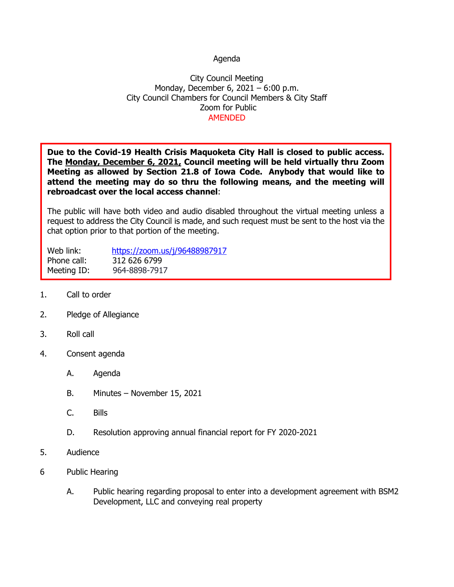## Agenda

## City Council Meeting Monday, December 6, 2021 – 6:00 p.m. City Council Chambers for Council Members & City Staff Zoom for Public AMENDED

**Due to the Covid-19 Health Crisis Maquoketa City Hall is closed to public access. The Monday, December 6, 2021, Council meeting will be held virtually thru Zoom Meeting as allowed by Section 21.8 of Iowa Code. Anybody that would like to attend the meeting may do so thru the following means, and the meeting will rebroadcast over the local access channel**:

The public will have both video and audio disabled throughout the virtual meeting unless a request to address the City Council is made, and such request must be sent to the host via the chat option prior to that portion of the meeting.

Web link: <https://zoom.us/j/96488987917> Phone call: 312 626 6799 Meeting ID: 964-8898-7917

- 1. Call to order
- 2. Pledge of Allegiance
- 3. Roll call
- 4. Consent agenda
	- A. Agenda
	- B. Minutes November 15, 2021
	- C. Bills
	- D. Resolution approving annual financial report for FY 2020-2021
- 5. Audience
- 6 Public Hearing
	- A. Public hearing regarding proposal to enter into a development agreement with BSM2 Development, LLC and conveying real property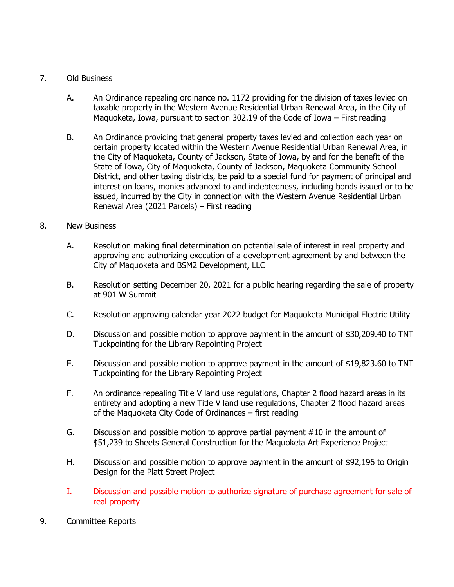## 7. Old Business

- A. An Ordinance repealing ordinance no. 1172 providing for the division of taxes levied on taxable property in the Western Avenue Residential Urban Renewal Area, in the City of Maquoketa, Iowa, pursuant to section 302.19 of the Code of Iowa – First reading
- B. An Ordinance providing that general property taxes levied and collection each year on certain property located within the Western Avenue Residential Urban Renewal Area, in the City of Maquoketa, County of Jackson, State of Iowa, by and for the benefit of the State of Iowa, City of Maquoketa, County of Jackson, Maquoketa Community School District, and other taxing districts, be paid to a special fund for payment of principal and interest on loans, monies advanced to and indebtedness, including bonds issued or to be issued, incurred by the City in connection with the Western Avenue Residential Urban Renewal Area (2021 Parcels) – First reading

## 8. New Business

- A. Resolution making final determination on potential sale of interest in real property and approving and authorizing execution of a development agreement by and between the City of Maquoketa and BSM2 Development, LLC
- B. Resolution setting December 20, 2021 for a public hearing regarding the sale of property at 901 W Summit
- C. Resolution approving calendar year 2022 budget for Maquoketa Municipal Electric Utility
- D. Discussion and possible motion to approve payment in the amount of \$30,209.40 to TNT Tuckpointing for the Library Repointing Project
- E. Discussion and possible motion to approve payment in the amount of \$19,823.60 to TNT Tuckpointing for the Library Repointing Project
- F. An ordinance repealing Title V land use regulations, Chapter 2 flood hazard areas in its entirety and adopting a new Title V land use regulations, Chapter 2 flood hazard areas of the Maquoketa City Code of Ordinances – first reading
- G. Discussion and possible motion to approve partial payment #10 in the amount of \$51,239 to Sheets General Construction for the Maquoketa Art Experience Project
- H. Discussion and possible motion to approve payment in the amount of \$92,196 to Origin Design for the Platt Street Project
- I. Discussion and possible motion to authorize signature of purchase agreement for sale of real property
- 9. Committee Reports